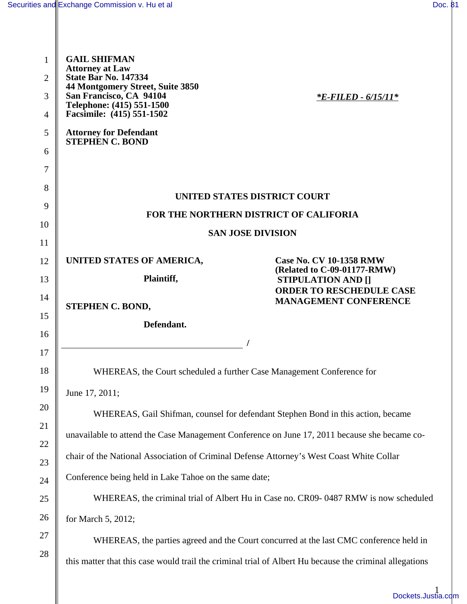| <b>GAIL SHIFMAN</b>           |                                                                                                                                                                                                                                                                                                                                                                                                                                                                                                       |
|-------------------------------|-------------------------------------------------------------------------------------------------------------------------------------------------------------------------------------------------------------------------------------------------------------------------------------------------------------------------------------------------------------------------------------------------------------------------------------------------------------------------------------------------------|
| <b>State Bar No. 147334</b>   |                                                                                                                                                                                                                                                                                                                                                                                                                                                                                                       |
| San Francisco, CA 94104       | <i><b>*E-FILED - 6/15/11*</b></i>                                                                                                                                                                                                                                                                                                                                                                                                                                                                     |
| Facsimile: (415) 551-1502     |                                                                                                                                                                                                                                                                                                                                                                                                                                                                                                       |
| <b>Attorney for Defendant</b> |                                                                                                                                                                                                                                                                                                                                                                                                                                                                                                       |
|                               |                                                                                                                                                                                                                                                                                                                                                                                                                                                                                                       |
|                               |                                                                                                                                                                                                                                                                                                                                                                                                                                                                                                       |
|                               | UNITED STATES DISTRICT COURT                                                                                                                                                                                                                                                                                                                                                                                                                                                                          |
|                               | FOR THE NORTHERN DISTRICT OF CALIFORIA                                                                                                                                                                                                                                                                                                                                                                                                                                                                |
|                               | <b>SAN JOSE DIVISION</b>                                                                                                                                                                                                                                                                                                                                                                                                                                                                              |
|                               |                                                                                                                                                                                                                                                                                                                                                                                                                                                                                                       |
|                               | <b>Case No. CV 10-1358 RMW</b><br>(Related to C-09-01177-RMW)                                                                                                                                                                                                                                                                                                                                                                                                                                         |
|                               | <b>STIPULATION AND []</b><br><b>ORDER TO RESCHEDULE CASE</b>                                                                                                                                                                                                                                                                                                                                                                                                                                          |
| STEPHEN C. BOND,              | <b>MANAGEMENT CONFERENCE</b>                                                                                                                                                                                                                                                                                                                                                                                                                                                                          |
| Defendant.                    |                                                                                                                                                                                                                                                                                                                                                                                                                                                                                                       |
|                               |                                                                                                                                                                                                                                                                                                                                                                                                                                                                                                       |
|                               |                                                                                                                                                                                                                                                                                                                                                                                                                                                                                                       |
|                               |                                                                                                                                                                                                                                                                                                                                                                                                                                                                                                       |
| June 17, 2011;                |                                                                                                                                                                                                                                                                                                                                                                                                                                                                                                       |
|                               | WHEREAS, Gail Shifman, counsel for defendant Stephen Bond in this action, became                                                                                                                                                                                                                                                                                                                                                                                                                      |
|                               | unavailable to attend the Case Management Conference on June 17, 2011 because she became co-                                                                                                                                                                                                                                                                                                                                                                                                          |
|                               |                                                                                                                                                                                                                                                                                                                                                                                                                                                                                                       |
|                               |                                                                                                                                                                                                                                                                                                                                                                                                                                                                                                       |
|                               | WHEREAS, the criminal trial of Albert Hu in Case no. CR09-0487 RMW is now scheduled                                                                                                                                                                                                                                                                                                                                                                                                                   |
| for March 5, 2012;            |                                                                                                                                                                                                                                                                                                                                                                                                                                                                                                       |
|                               | WHEREAS, the parties agreed and the Court concurred at the last CMC conference held in                                                                                                                                                                                                                                                                                                                                                                                                                |
|                               |                                                                                                                                                                                                                                                                                                                                                                                                                                                                                                       |
|                               |                                                                                                                                                                                                                                                                                                                                                                                                                                                                                                       |
|                               | Dockets.Justia.                                                                                                                                                                                                                                                                                                                                                                                                                                                                                       |
|                               | <b>Attorney at Law</b><br>44 Montgomery Street, Suite 3850<br>Telephone: (415) 551-1500<br><b>STEPHEN C. BOND</b><br>UNITED STATES OF AMERICA,<br>Plaintiff,<br>WHEREAS, the Court scheduled a further Case Management Conference for<br>chair of the National Association of Criminal Defense Attorney's West Coast White Collar<br>Conference being held in Lake Tahoe on the same date;<br>this matter that this case would trail the criminal trial of Albert Hu because the criminal allegations |